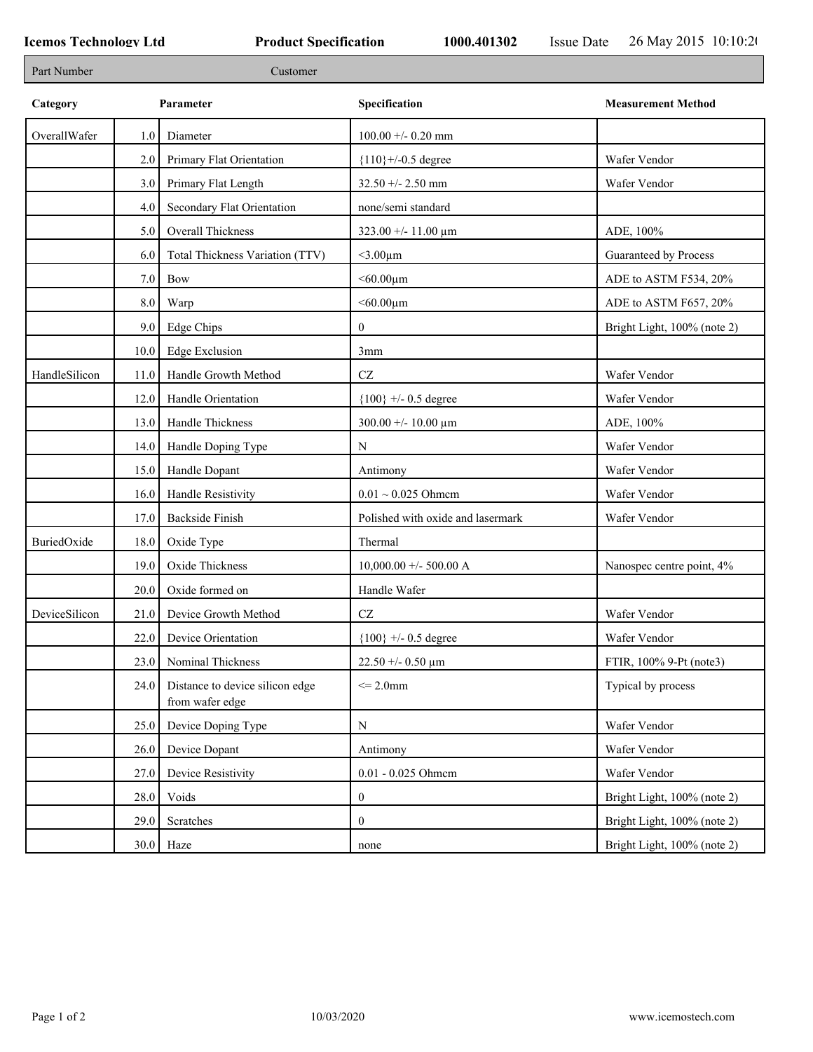| Part Number   |           | Customer                                           |                                        |                             |
|---------------|-----------|----------------------------------------------------|----------------------------------------|-----------------------------|
| Category      | Parameter |                                                    | Specification                          | <b>Measurement Method</b>   |
| OverallWafer  | 1.0       | Diameter                                           | $100.00 + -0.20$ mm                    |                             |
|               | 2.0       | Primary Flat Orientation                           | ${110}$ +/-0.5 degree                  | Wafer Vendor                |
|               | 3.0       | Primary Flat Length                                | $32.50 + - 2.50$ mm                    | Wafer Vendor                |
|               | 4.0       | Secondary Flat Orientation                         | none/semi standard                     |                             |
|               | 5.0       | Overall Thickness                                  | 323.00 +/- 11.00 μm                    | ADE, 100%                   |
|               | 6.0       | Total Thickness Variation (TTV)                    | $<$ 3.00 $\mu$ m                       | Guaranteed by Process       |
|               | 7.0       | Bow                                                | $<$ 60.00 $\mu$ m                      | ADE to ASTM F534, 20%       |
|               | 8.0       | Warp                                               | $<$ 60.00 $\mu$ m                      | ADE to ASTM F657, 20%       |
|               | 9.0       | <b>Edge Chips</b>                                  | $\mathbf{0}$                           | Bright Light, 100% (note 2) |
|               | 10.0      | <b>Edge Exclusion</b>                              | 3mm                                    |                             |
| HandleSilicon | 11.0      | Handle Growth Method                               | $\operatorname{CZ}$                    | Wafer Vendor                |
|               | 12.0      | Handle Orientation                                 | ${100}$ +/- 0.5 degree                 | Wafer Vendor                |
|               | 13.0      | Handle Thickness                                   | $300.00 + - 10.00 \text{ }\mu\text{m}$ | ADE, 100%                   |
|               | 14.0      | Handle Doping Type                                 | N                                      | Wafer Vendor                |
|               | 15.0      | Handle Dopant                                      | Antimony                               | Wafer Vendor                |
|               | 16.0      | Handle Resistivity                                 | $0.01 \sim 0.025$ Ohmem                | Wafer Vendor                |
|               | 17.0      | <b>Backside Finish</b>                             | Polished with oxide and lasermark      | Wafer Vendor                |
| BuriedOxide   | 18.0      | Oxide Type                                         | Thermal                                |                             |
|               | 19.0      | Oxide Thickness                                    | $10,000.00 +/- 500.00 A$               | Nanospec centre point, 4%   |
|               | 20.0      | Oxide formed on                                    | Handle Wafer                           |                             |
| DeviceSilicon | 21.0      | Device Growth Method                               | $\operatorname{CZ}$                    | Wafer Vendor                |
|               | 22.0      | Device Orientation                                 | ${100}$ +/- 0.5 degree                 | Wafer Vendor                |
|               | 23.0      | Nominal Thickness                                  | $22.50 + -0.50 \mu m$                  | FTIR, 100% 9-Pt (note3)     |
|               | 24.0      | Distance to device silicon edge<br>from wafer edge | $\leq$ 2.0mm                           | Typical by process          |
|               | 25.0      | Device Doping Type                                 | N                                      | Wafer Vendor                |
|               | 26.0      | Device Dopant                                      | Antimony                               | Wafer Vendor                |
|               | 27.0      | Device Resistivity                                 | 0.01 - 0.025 Ohmem                     | Wafer Vendor                |
|               | 28.0      | Voids                                              | $\bf{0}$                               | Bright Light, 100% (note 2) |
|               | 29.0      | Scratches                                          | $\bf{0}$                               | Bright Light, 100% (note 2) |
|               | 30.0      | Haze                                               | none                                   | Bright Light, 100% (note 2) |